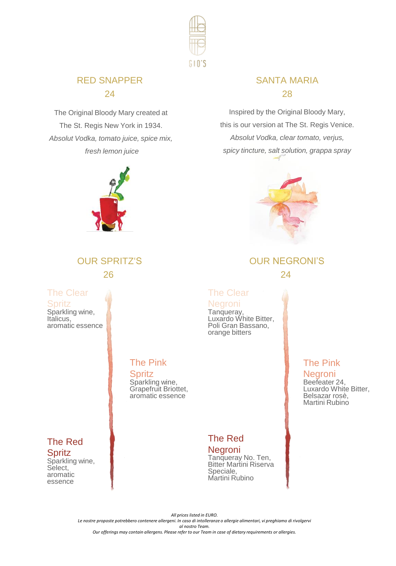

### RED SNAPPER 24

The Original Bloody Mary created at The St. Regis New York in 1934. *Absolut Vodka, tomato juice, spice mix, fresh lemon juice*



# OUR SPRITZ'S 26

The Clear **Spritz** 

Sparkling wine, Italicus. aromatic essence

# The Pink

**Spritz** Sparkling wine, Grapefruit Briottet, aromatic essence

#### The Red **Spritz**

Sparkling wine, Select, aromatic essence

### SANTA MARIA 28

Inspired by the Original Bloody Mary, this is our version at The St. Regis Venice. *Absolut Vodka, clear tomato, verjus, spicy tincture, salt solution, grappa spray*



# OUR NEGRONI'S 24

# The Clear

**Negroni** Tanqueray, Luxardo White Bitter, Poli Gran Bassano, orange bitters

## The Pink

Negroni Beefeater 24, Luxardo White Bitter, Belsazar rosè, Martini Rubino

# The Red

Negroni Tanqueray No. Ten, Bitter Martini Riserva Speciale, Martini Rubino

*All prices listed in EURO. Le nostre proposte potrebbero contenere allergeni. In caso di intolleranze o allergie alimentari, vi preghiamo di rivolgervi al nostro Team. Our offerings may contain allergens. Please refer to our Team in case of dietary requirements or allergies.*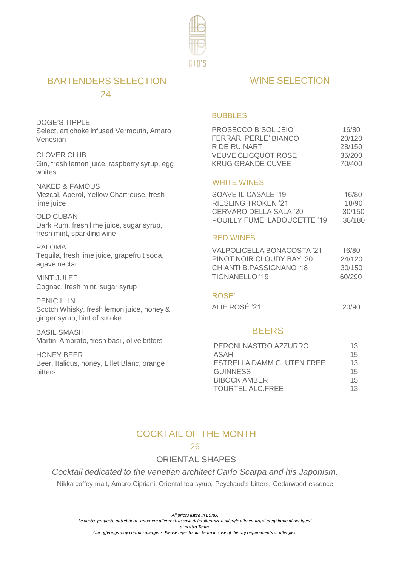

### BARTENDERS SELECTION 24

DOGE'S TIPPLE Select, artichoke infused Vermouth, Amaro Venesian

CLOVER CLUB Gin, fresh lemon juice, raspberry syrup, egg whites

NAKED & FAMOUS Mezcal, Aperol, Yellow Chartreuse, fresh lime juice

OLD CUBAN Dark Rum, fresh lime juice, sugar syrup, fresh mint, sparkling wine

PAI OMA Tequila, fresh lime juice, grapefruit soda, agave nectar

MINT JULEP Cognac, fresh mint, sugar syrup

PENICIL LIN Scotch Whisky, fresh lemon juice, honey & ginger syrup, hint of smoke

BASIL SMASH Martini Ambrato, fresh basil, olive bitters

HONEY BEER Beer, Italicus, honey, Lillet Blanc, orange bitters

### WINE SELECTION

#### BUBBLES

| PROSECCO BISOL JEIO          | 16/80  |
|------------------------------|--------|
| <b>FERRARI PERLE' BIANCO</b> | 20/120 |
| R DE RUINART                 | 28/150 |
| VEUVE CLICQUOT ROSÈ          | 35/200 |
| KRUG GRANDE CUVÉE            | 70/400 |

#### WHITE WINES

| SOAVE IL CASALE '19          | 16/80  |
|------------------------------|--------|
| <b>RIESLING TROKEN '21</b>   | 18/90  |
| CERVARO DELLA SALA '20       | 30/150 |
| POUILLY FUME' LADOUCETTE '19 | 38/180 |

#### RED WINES

| VALPOLICELLA BONACOSTA '21 | 16/80  |
|----------------------------|--------|
| PINOT NOIR CLOUDY BAY '20  | 24/120 |
| CHIANTI B.PASSIGNANO '18   | 30/150 |
| TIGNANELLO '19             | 60/290 |

#### ROSE'

| ALIE ROSE '21 | 20/90 |
|---------------|-------|

#### **BEERS**

| PERONI NASTRO AZZURRO     | 13 |
|---------------------------|----|
| ASAHI                     | 15 |
| ESTRELLA DAMM GLUTEN FREE | 13 |
| GUINNESS                  | 15 |
| <b>BIBOCK AMBER</b>       | 15 |
| TOURTEL ALC.FREE          | 13 |

### COCKTAIL OF THE MONTH

#### 26

### ORIENTAL SHAPES

*Cocktail dedicated to the venetian architect Carlo Scarpa and his Japonism.* Nikka coffey malt, Amaro Cipriani, Oriental tea syrup, Peychaud's bitters, Cedarwood essence

*All prices listed in EURO. Le nostre proposte potrebbero contenere allergeni. In caso di intolleranze o allergie alimentari, vi preghiamo di rivolgervi al nostro Team.*

*Our offerings may contain allergens. Please refer to our Team in case of dietary requirements or allergies.*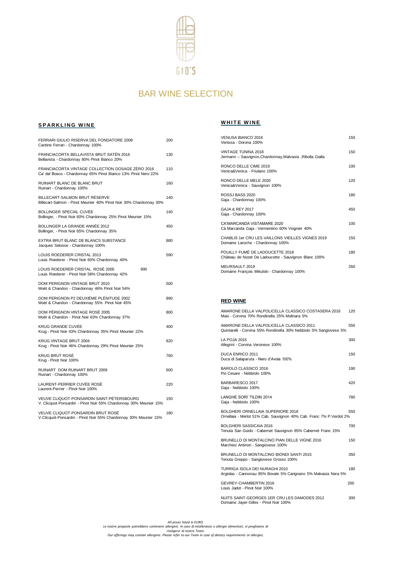

### BAR WINE SELECTION

#### **SPARKLING WINE**

| FERRARI GIULIO RISERVA DEL FONDATORE 2008<br>Cantine Ferrari - Chardonnay 100%                                     | 200 |
|--------------------------------------------------------------------------------------------------------------------|-----|
| FRANCIACORTA BELLAVISTA BRUT SATÈN 2016<br>Bellavista - Chardonnay 80% Pinot Bianco 20%                            | 130 |
| FRANCIACORTA VINTAGE COLLECTION DOSAGE ZERO 2016<br>Ca' del Bosco - Chardonnay 65% Pinot Bianco 13% Pinot Nero 22% | 110 |
| RUINART BLANC DE BLANC BRUT<br>Ruinart - Chardonnay 100%                                                           | 160 |
| BILLECART-SALMON BRUT RÉSERVE<br>Billecart-Salmon - Pinot Meunier 40% Pinot Noir 30% Chardonnay 30%                | 140 |
| BOLLINGER SPECIAL CUVÉE<br>Bollinger, - Pinot Noir 60% Chardonnay 25% Pinot Meunier 15%                            | 140 |
| BOLLINGER LA GRANDE ANNÉE 2012<br>Bollinger, - Pinot Noir 65% Chardonnay 35%                                       | 450 |
| EXTRA BRUT BLANC DE BLANCS SUBSTANCE<br>Jacques Selosse - Chardonnay 100%                                          | 880 |
| LOUIS ROEDERER CRISTAL 2013<br>Louis Roederer - Pinot Noir 60% Chardonnay 40%                                      | 590 |
| LOUIS ROEDERER CRISTAL ROSÈ 2005<br>900<br>Louis Roederer - Pinot Noir 58% Chardonnay 42%                          |     |
| DOM PERIGNON VINTAGE BRUT 2010<br>Moët & Chandon - Chardonnay 46% Pinot Noir 54%                                   | 500 |
| DOM PERIGNON P2 DEUXIÉME PLÈNITUDE 2002<br>Moët & Chandon - Chardonnay 55% Pinot Noir 45%                          | 890 |
| DOM PÈRIGNON VINTAGE ROSÈ 2005<br>Moët & Chandon - Pinot Noir 63% Chardonnay 37%                                   | 800 |
| KRUG GRANDE CUVÉE<br>Krug - Pinot Noir 43% Chardonnay 35% Pinot Meunier 22%                                        | 400 |
| KRUG VINTAGE BRUT 2004<br>Krug - Pinot Noir 46% Chardonnay 29% Pinot Meunier 25%                                   | 820 |
| <b>KRUG BRUT ROSÉ</b><br>Krug - Pinot Noir 100%                                                                    | 760 |
| RUINART DOM RUINART BRUT 2009<br>Ruinart - Chardonnay 100%                                                         | 600 |
| LAURENT-PERRIER CUVÉE ROSE<br>Laurent-Perrier - Pinot Noir 100%                                                    | 220 |
| VEUVE CLIQUOT-PONSARDIN SAINT-PÉTERSBOURG<br>V. Clicquot-Ponsardin - Pinot Noir 55% Chardonnay 30% Meunier 15%     | 150 |
| VEUVE CLIQUOT-PONSARDIN BRUT ROSÈ<br>V.Clicquot-Ponsardin - Pinot Noir 55% Chardonnay 30% Meunier 15%              | 180 |

#### **WHITE WINE**

| VENUSA BIANCO 2018<br>Venissa - Dorona 100%                                              | 150 |
|------------------------------------------------------------------------------------------|-----|
| VINTAGE TUNINA 2018<br>Jermann - Sauvignon, Chardonnay, Malvasia, Ribolla Gialla         | 150 |
| RONCO DELLE CIME 2019<br>Venica&Venica - Friulano 100%                                   | 100 |
| RONCO DELLE MELE 2020<br>Venica&Venica - Sauvignon 100%                                  | 120 |
| ROSSJ BASS 2020<br>Gaja - Chardonnay 100%                                                | 180 |
| GAJA & RFY 2017<br>Gaja - Chardonnay 100%                                                | 450 |
| CA'MARCANDA VISTAMARE 2020<br>Cà Marcanda Gaja - Vermentino 60% Viognier 40%             | 100 |
| CHABLIS 1er CRU LES VAILLONS VIEILLES VIGNES 2019<br>Domaine Laroche - Chardonnav 100%   | 150 |
| POUILLY FUMÉ DE LADOUCETTE 2018<br>Château de Nozet De Ladoucette - Sauvignon Blanc 100% | 180 |
| MEURSAULT 2019<br>Domaine Francois Mikulski - Chardonnav 100%                            | 260 |

#### **RED WINE**

| AMARONE DELLA VALPOLICELLA CLASSICO COSTASERA 2016<br>Masi - Corvina 70% Rondinella 25% Molinara 5%            | 120 |
|----------------------------------------------------------------------------------------------------------------|-----|
| AMARONE DELLA VALPOLICELLA CLASSICO 2011<br>Quintarelli - Corvina 55% Rondinella 30% Nebbiolo 5% Sangiovese 5% | 550 |
| LA POJA 2015<br>Allegrini - Corvina Veronese 100%                                                              | 300 |
| DUCA ENRICO 2011<br>Duca di Salaparuta - Nero d'Avola 100%                                                     | 150 |
| BAROLO CLASSICO 2016<br>Pio Cesare - Nebbiolo 100%                                                             | 190 |
| BARBARESCO 2017<br>Gaia - Nebbiolo 100%                                                                        | 420 |
| <b>LANGHE SORI' TILDIN 2014</b><br>Gaia - Nebbiolo 100%                                                        | 780 |
| BOLGHERLORNELLAIA SUPERIORE 2018<br>Ornellaia - Merlot 51% Cab. Sauvignon 40% Cab. Franc 7% P.Verdot 2%        | 550 |
| BOLGHERI SASSICAIA 2016<br>Tenuta San Guido - Cabernet Sauvignon 85% Cabernet Franc 15%                        | 700 |
| BRUNELLO DI MONTALCINO PIAN DELLE VIGNE 2016<br>Marchesi Antinori - Sangiovese 100%                            | 150 |
| BRUNELLO DI MONTALCINO BIONDI SANTI 2015<br>Tenuta Greppo - Sangiovese Grosso 100%                             | 350 |
| TURRIGA ISOLA DEI NURAGHI 2010<br>Argiolas - Cannonau 85% Bovale 5% Carignano 5% Malvasia Nera 5%              | 180 |
| GEVREY-CHAMBERTIN 2016<br>Louis Jadot - Pinot Noir 100%                                                        | 200 |
| NUITS SAINT-GEORGES 1ER CRU LES DAMODES 2012<br>Domaine Jayer-Gilles - Pinot Noir 100%                         | 300 |

All proposte potrebbero contenere allergieni. In caso di intilita.<br>Involte proposte potrebbero contenere allergieni. In caso di intolleranze o allergie alimentari, vi preghiamo di<br>Our offerings may contain allergens. Pleas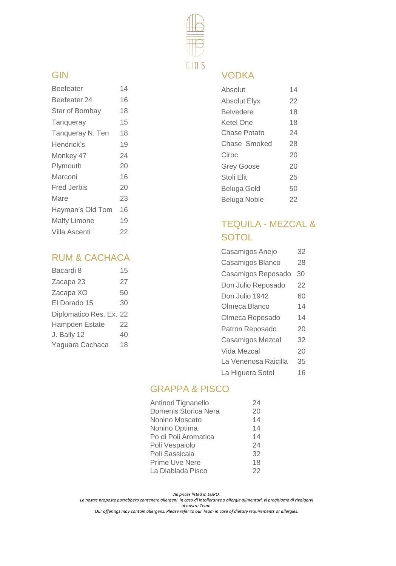

### GIN

| <b>Beefeater</b>    | 14 |
|---------------------|----|
| Beefeater 24        | 16 |
| Star of Bombay      | 18 |
| Tangueray           | 15 |
| Tangueray N. Ten    | 18 |
| Hendrick's          | 19 |
| Monkey 47           | 24 |
| Plymouth            | 20 |
| Marconi             | 16 |
| Fred Jerbis         | 20 |
| Mare                | 23 |
| Hayman's Old Tom    | 16 |
| <b>Malfy Limone</b> | 19 |
| Villa Ascenti       | 22 |
|                     |    |

# RUM & CACHACA

| Bacardi 8               | 15 |
|-------------------------|----|
| Zacapa 23               | 27 |
| Zacapa XO               | 50 |
| El Dorado 15            | 30 |
| Diplomatico Res. Ex. 22 |    |
| <b>Hampden Estate</b>   | 22 |
| J. Bally 12             | 40 |
| Yaguara Cachaca         | 18 |
|                         |    |

# VODKA

| Absolut             | 14 |
|---------------------|----|
| <b>Absolut Elyx</b> | 22 |
| <b>Belvedere</b>    | 18 |
| Ketel One           | 18 |
| Chase Potato        | 24 |
| Chase Smoked        | 28 |
| Ciroc               | 20 |
| <b>Grey Goose</b>   | 20 |
| Stoli Elit          | 25 |
| Beluga Gold         | 50 |
| <b>Beluga Noble</b> | 22 |
|                     |    |

# TEQUILA - MEZCAL & **SOTOL**

| Casamigos Anejo      | 32 |
|----------------------|----|
| Casamigos Blanco     | 28 |
| Casamigos Reposado   | 30 |
| Don Julio Reposado   | 22 |
| Don Julio 1942       | 60 |
| Olmeca Blanco        | 14 |
| Olmeca Reposado      | 14 |
| Patron Reposado      | 20 |
| Casamigos Mezcal     | 32 |
| Vida Mezcal          | 20 |
| La Venenosa Raicilla | 35 |
| La Higuera Sotol     | 16 |

# GRAPPA & PISCO

| Antinori Tignanello  | 24 |
|----------------------|----|
| Domenis Storica Nera | 20 |
| Nonino Moscato       | 14 |
| Nonino Optima        | 14 |
| Po di Poli Aromatica | 14 |
| Poli Vespaiolo       | 24 |
| Poli Sassicaia       | 32 |
| Prime Uve Nere       | 18 |
| La Diablada Pisco    | 22 |

*All prices listed in EURO.* 

*Le nostre proposte potrebbero contenere allergeni. In caso di intolleranze o allergie alimentari, vi preghiamo di rivolgervi al nostro Team.*

*Our offerings may contain allergens. Please refer to our Team in case of dietary requirements or allergies.*